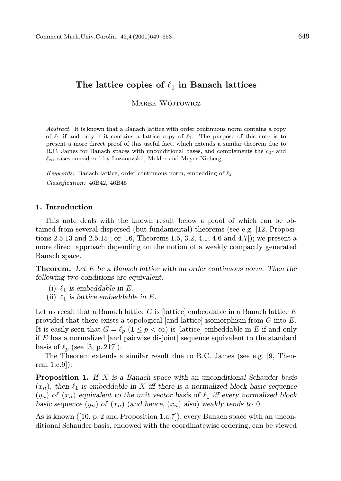## The lattice copies of  $\ell_1$  in Banach lattices

MAREK WÓJTOWICZ

Abstract. It is known that a Banach lattice with order continuous norm contains a copy of  $\ell_1$  if and only if it contains a lattice copy of  $\ell_1$ . The purpose of this note is to present a more direct proof of this useful fact, which extends a similar theorem due to R.C. James for Banach spaces with unconditional bases, and complements the  $c_0$ - and  $\ell_{\infty}$ -cases considered by Lozanovskii, Mekler and Meyer-Nieberg.

Keywords: Banach lattice, order continuous norm, embedding of  $\ell_1$ Classification: 46B42, 46B45

## 1. Introduction

This note deals with the known result below a proof of which can be obtained from several dispersed (but fundamental) theorems (see e.g. [12, Propositions 2.5.13 and 2.5.15]; or [16, Theorems 1.5, 3.2, 4.1, 4.6 and 4.7]); we present a more direct approach depending on the notion of a weakly compactly generated Banach space.

**Theorem.** Let  $E$  be a Banach lattice with an order continuous norm. Then the following two conditions are equivalent.

- (i)  $\ell_1$  is embeddable in E.
- (ii)  $\ell_1$  is lattice embeddable in E.

Let us recall that a Banach lattice  $G$  is [lattice] embeddable in a Banach lattice  $E$ provided that there exists a topological [and lattice] isomorphism from  $G$  into  $E$ . It is easily seen that  $G = \ell_p$   $(1 \leq p < \infty)$  is [lattice] embeddable in E if and only if  $E$  has a normalized [and pairwise disjoint] sequence equivalent to the standard basis of  $\ell_p$  (see [3, p. 217]).

The Theorem extends a similar result due to R.C. James (see e.g. [9, Theorem 1.c.9]):

**Proposition 1.** If  $X$  is a Banach space with an unconditional Schauder basis  $(x_n)$ , then  $\ell_1$  is embeddable in X iff there is a normalized block basic sequence  $(y_n)$  of  $(x_n)$  equivalent to the unit vector basis of  $\ell_1$  iff every normalized block basic sequence  $(y_n)$  of  $(x_n)$  (and hence,  $(x_n)$  also) weakly tends to 0.

As is known ([10, p. 2 and Proposition 1.a.7]), every Banach space with an unconditional Schauder basis, endowed with the coordinatewise ordering, can be viewed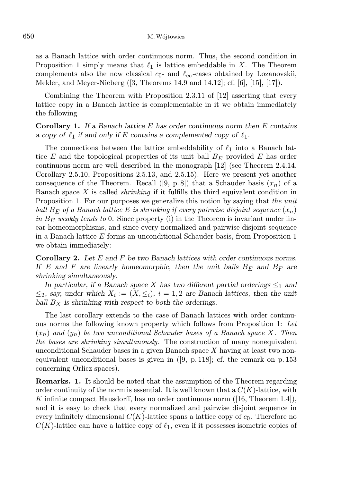as a Banach lattice with order continuous norm. Thus, the second condition in Proposition 1 simply means that  $\ell_1$  is lattice embeddable in X. The Theorem complements also the now classical  $c_0$ - and  $\ell_{\infty}$ -cases obtained by Lozanovskii, Mekler, and Meyer-Nieberg ([3, Theorems 14.9 and 14.12]; cf. [6], [15], [17]).

Combining the Theorem with Proposition 2.3.11 of [12] asserting that every lattice copy in a Banach lattice is complementable in it we obtain immediately the following

**Corollary 1.** If a Banach lattice  $E$  has order continuous norm then  $E$  contains a copy of  $\ell_1$  if and only if E contains a complemented copy of  $\ell_1$ .

The connections between the lattice embeddability of  $\ell_1$  into a Banach lattice E and the topological properties of its unit ball  $B<sub>E</sub>$  provided E has order continuous norm are well described in the monograph [12] (see Theorem 2.4.14, Corollary 2.5.10, Propositions 2.5.13, and 2.5.15). Here we present yet another consequence of the Theorem. Recall ([9, p. 8]) that a Schauder basis  $(x_n)$  of a Banach space  $X$  is called *shrinking* if it fulfills the third equivalent condition in Proposition 1. For our purposes we generalize this notion by saying that the unit ball  $B_F$  of a Banach lattice E is shrinking if every pairwise disjoint sequence  $(x_n)$ in  $B_E$  weakly tends to 0. Since property (i) in the Theorem is invariant under linear homeomorphisms, and since every normalized and pairwise disjoint sequence in a Banach lattice E forms an unconditional Schauder basis, from Proposition 1 we obtain immediately:

**Corollary 2.** Let  $E$  and  $F$  be two Banach lattices with order continuous norms. If E and F are linearly homeomorphic, then the unit balls  $B_E$  and  $B_F$  are shrinking simultaneously.

In particular, if a Banach space X has two different partial orderings  $\leq_1$  and  $\leq_2$ , say, under which  $X_i := (X, \leq_i), i = 1, 2$  are Banach lattices, then the unit ball  $B_X$  is shrinking with respect to both the orderings.

The last corollary extends to the case of Banach lattices with order continuous norms the following known property which follows from Proposition 1: Let  $(x_n)$  and  $(y_n)$  be two unconditional Schauder bases of a Banach space X. Then the bases are shrinking simultanously. The construction of many nonequivalent unconditional Schauder bases in a given Banach space  $X$  having at least two nonequivalent unconditional bases is given in ([9, p. 118]; cf. the remark on p. 153 concerning Orlicz spaces).

Remarks. 1. It should be noted that the assumption of the Theorem regarding order continuity of the norm is essential. It is well known that a  $C(K)$ -lattice, with K infinite compact Hausdorff, has no order continuous norm  $([16,$  Theorem 1.4]), and it is easy to check that every normalized and pairwise disjoint sequence in every infinitely dimensional  $C(K)$ -lattice spans a lattice copy of  $c_0$ . Therefore no  $C(K)$ -lattice can have a lattice copy of  $\ell_1$ , even if it possesses isometric copies of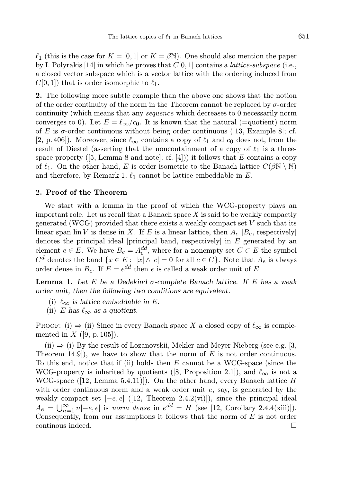$\ell_1$  (this is the case for  $K = [0, 1]$  or  $K = \beta \mathbb{N}$ ). One should also mention the paper by I. Polyrakis [14] in which he proves that  $C[0, 1]$  contains a *lattice-subspace* (i.e., a closed vector subspace which is a vector lattice with the ordering induced from  $C[0, 1]$  that is order isomorphic to  $\ell_1$ .

2. The following more subtle example than the above one shows that the notion of the order continuity of the norm in the Theorem cannot be replaced by  $\sigma$ -order continuity (which means that any sequence which decreases to 0 necessarily norm converges to 0). Let  $E = \ell_{\infty}/c_0$ . It is known that the natural (=quotient) norm of E is  $\sigma$ -order continuous without being order continuous ([13, Example 8]; cf. [2, p. 406]). Moreover, since  $\ell_{\infty}$  contains a copy of  $\ell_1$  and  $c_0$  does not, from the result of Diestel (asserting that the noncontainment of a copy of  $\ell_1$  is a threespace property ([5, Lemma 8 and note]; cf. [4])) it follows that E contains a copy of  $\ell_1$ . On the other hand, E is order isometric to the Banach lattice  $C(\beta N \setminus N)$ and therefore, by Remark 1,  $\ell_1$  cannot be lattice embeddable in E.

## 2. Proof of the Theorem

We start with a lemma in the proof of which the WCG-property plays an important role. Let us recall that a Banach space  $X$  is said to be weakly compactly generated (WCG) provided that there exists a weakly compact set  $V$  such that its linear span lin V is dense in X. If E is a linear lattice, then  $A_e$  [ $B_e$ , respectively] denotes the principal ideal [principal band, respectively] in  $E$  generated by an element  $e \in E$ . We have  $B_e = A_e^{dd}$ , where for a nonempty set  $C \subset E$  the symbol  $C^d$  denotes the band  $\{x \in E : |x| \wedge |c| = 0 \text{ for all } c \in C\}$ . Note that  $A_e$  is always order dense in  $B_e$ . If  $E = e^{dd}$  then e is called a weak order unit of E.

**Lemma 1.** Let E be a Dedekind  $\sigma$ -complete Banach lattice. If E has a weak order unit, then the following two conditions are equivalent.

- (i)  $\ell_{\infty}$  is lattice embeddable in E.
- (ii) E has  $\ell_{\infty}$  as a quotient.

PROOF: (i)  $\Rightarrow$  (ii) Since in every Banach space X a closed copy of  $\ell_{\infty}$  is complemented in  $X$  ([9, p. 105]).

 $(ii) \Rightarrow (i)$  By the result of Lozanovskii, Mekler and Meyer-Nieberg (see e.g. [3, Theorem 14.9]), we have to show that the norm of  $E$  is not order continuous. To this end, notice that if (ii) holds then  $E$  cannot be a WCG-space (since the WCG-property is inherited by quotients ([8, Proposition 2.1]), and  $\ell_{\infty}$  is not a WCG-space  $([12, \text{Lemma } 5.4.11)]$ . On the other hand, every Banach lattice H with order continuous norm and a weak order unit  $e$ , say, is generated by the weakly compact set  $[-e, e]$  ([12, Theorem 2.4.2(vi)]), since the principal ideal  $A_e = \bigcup_{n=1}^{\infty} n[-e, e]$  is norm dense in  $e^{dd} = H$  (see [12, Corollary 2.4.4(xiii)]). Consequently, from our assumptions it follows that the norm of  $E$  is not order continous indeed.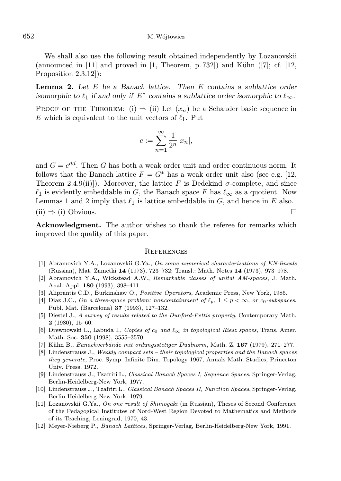We shall also use the following result obtained independently by Lozanovskii (announced in  $[11]$  and proved in  $[1,$  Theorem, p. 732) and Kühn  $[7]$ ; cf.  $[12,$ Proposition 2.3.12]):

**Lemma 2.** Let  $E$  be a Banach lattice. Then  $E$  contains a sublattice order isomorphic to  $\ell_1$  if and only if  $E^*$  contains a sublattice order isomorphic to  $\ell_{\infty}$ .

PROOF OF THE THEOREM: (i)  $\Rightarrow$  (ii) Let  $(x_n)$  be a Schauder basic sequence in E which is equivalent to the unit vectors of  $\ell_1$ . Put

$$
e := \sum_{n=1}^{\infty} \frac{1}{2^n} |x_n|,
$$

and  $G = e^{dd}$ . Then G has both a weak order unit and order continuous norm. It follows that the Banach lattice  $F = G^*$  has a weak order unit also (see e.g. [12, Theorem 2.4.9(ii)]). Moreover, the lattice F is Dedekind  $\sigma$ -complete, and since  $\ell_1$  is evidently embeddable in G, the Banach space F has  $\ell_\infty$  as a quotient. Now Lemmas 1 and 2 imply that  $\ell_1$  is lattice embeddable in G, and hence in E also.  $(i) \Rightarrow (i)$  Obvious.

Acknowledgment. The author wishes to thank the referee for remarks which improved the quality of this paper.

## **REFERENCES**

- [1] Abramovich Y.A., Lozanovskii G.Ya., On some numerical characterizations of KN-lineals (Russian), Mat. Zametki 14 (1973), 723–732; Transl.: Math. Notes 14 (1973), 973–978.
- [2] Abramovich Y.A., Wickstead A.W., Remarkable classes of unital AM-spaces, J. Math. Anal. Appl. 180 (1993), 398–411.
- [3] Aliprantis C.D., Burkinshaw O., Positive Operators, Academic Press, New York, 1985.
- [4] Diaz J.C., On a three-space problem: noncontainment of  $\ell_p$ ,  $1 \leq p < \infty$ , or  $c_0$ -subspaces, Publ. Mat. (Barcelona) 37 (1993), 127–132.
- [5] Diestel J., A survey of results related to the Dunford-Pettis property, Contemporary Math. 2 (1980), 15–60.
- [6] Drewnowski L., Labuda I., Copies of  $c_0$  and  $\ell_{\infty}$  in topological Riesz spaces, Trans. Amer. Math. Soc. 350 (1998), 3555–3570.
- [7] Kühn B., Banachverbände mit ordungsstetiger Dualnorm, Math. Z. 167 (1979), 271–277.
- [8] Lindenstrauss J., Weakly compact sets their topological properties and the Banach spaces they generate, Proc. Symp. Infinite Dim. Topology 1967, Annals Math. Studies, Princeton Univ. Press, 1972.
- [9] Lindenstrauss J., Tzafriri L., Classical Banach Spaces I, Sequence Spaces, Springer-Verlag, Berlin-Heidelberg-New York, 1977.
- [10] Lindenstrauss J., Tzafriri L., Classical Banach Spaces II, Function Spaces, Springer-Verlag, Berlin-Heidelberg-New York, 1979.
- [11] Lozanovskii G.Ya., On one result of Shimogaki (in Russian), Theses of Second Conference of the Pedagogical Institutes of Nord-West Region Devoted to Mathematics and Methods of its Teaching, Leningrad, 1970, 43.
- [12] Meyer-Nieberg P., Banach Lattices, Springer-Verlag, Berlin-Heidelberg-New York, 1991.